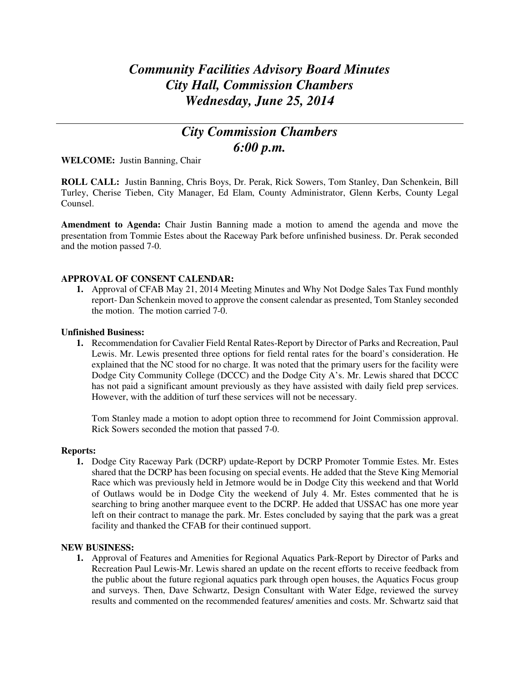# *Community Facilities Advisory Board Minutes City Hall, Commission Chambers Wednesday, June 25, 2014*

## *City Commission Chambers 6:00 p.m.*

**WELCOME:** Justin Banning, Chair

**ROLL CALL:** Justin Banning, Chris Boys, Dr. Perak, Rick Sowers, Tom Stanley, Dan Schenkein, Bill Turley, Cherise Tieben, City Manager, Ed Elam, County Administrator, Glenn Kerbs, County Legal Counsel.

**Amendment to Agenda:** Chair Justin Banning made a motion to amend the agenda and move the presentation from Tommie Estes about the Raceway Park before unfinished business. Dr. Perak seconded and the motion passed 7-0.

### **APPROVAL OF CONSENT CALENDAR:**

**1.** Approval of CFAB May 21, 2014 Meeting Minutes and Why Not Dodge Sales Tax Fund monthly report- Dan Schenkein moved to approve the consent calendar as presented, Tom Stanley seconded the motion. The motion carried 7-0.

#### **Unfinished Business:**

**1.** Recommendation for Cavalier Field Rental Rates-Report by Director of Parks and Recreation, Paul Lewis. Mr. Lewis presented three options for field rental rates for the board's consideration. He explained that the NC stood for no charge. It was noted that the primary users for the facility were Dodge City Community College (DCCC) and the Dodge City A's. Mr. Lewis shared that DCCC has not paid a significant amount previously as they have assisted with daily field prep services. However, with the addition of turf these services will not be necessary.

Tom Stanley made a motion to adopt option three to recommend for Joint Commission approval. Rick Sowers seconded the motion that passed 7-0.

#### **Reports:**

**1.** Dodge City Raceway Park (DCRP) update-Report by DCRP Promoter Tommie Estes. Mr. Estes shared that the DCRP has been focusing on special events. He added that the Steve King Memorial Race which was previously held in Jetmore would be in Dodge City this weekend and that World of Outlaws would be in Dodge City the weekend of July 4. Mr. Estes commented that he is searching to bring another marquee event to the DCRP. He added that USSAC has one more year left on their contract to manage the park. Mr. Estes concluded by saying that the park was a great facility and thanked the CFAB for their continued support.

#### **NEW BUSINESS:**

**1.** Approval of Features and Amenities for Regional Aquatics Park-Report by Director of Parks and Recreation Paul Lewis-Mr. Lewis shared an update on the recent efforts to receive feedback from the public about the future regional aquatics park through open houses, the Aquatics Focus group and surveys. Then, Dave Schwartz, Design Consultant with Water Edge, reviewed the survey results and commented on the recommended features/ amenities and costs. Mr. Schwartz said that